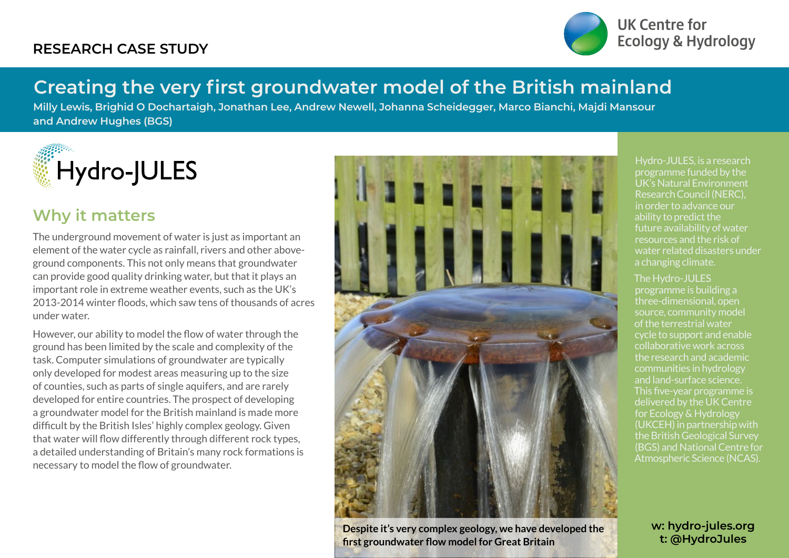### **RESEARCH CASE STUDY**



UK Centre for **Ecology & Hydrology** 

# **Creating the very first groundwater model of the British mainland**

**Milly Lewis, Brighid O Dochartaigh, Jonathan Lee, Andrew Newell, Johanna Scheidegger, Marco Bianchi, Majdi Mansour and Andrew Hughes (BGS)**



### **Why it matters**

The underground movement of water is just as important an element of the water cycle as rainfall, rivers and other aboveground components. This not only means that groundwater can provide good quality drinking water, but that it plays an important role in extreme weather events, such as the UK's 2013-2014 winter floods, which saw tens of thousands of acres under water.

However, our ability to model the flow of water through the ground has been limited by the scale and complexity of the task. Computer simulations of groundwater are typically only developed for modest areas measuring up to the size of counties, such as parts of single aquifers, and are rarely developed for entire countries. The prospect of developing a groundwater model for the British mainland is made more difficult by the British Isles' highly complex geology. Given that water will flow differently through different rock types, a detailed understanding of Britain's many rock formations is necessary to model the flow of groundwater.



**Despite it's very complex geology, we have developed the first groundwater flow model for Great Britain**

Hydro-JULES, is a research programme funded by the UK's Natural Environment Research Council (NERC), in order to advance our ability to predict the future availability of water resources and the risk of water related disasters under a changing climate.

#### The Hydro-JULES

programme is building a three-dimensional, open source, community model of the terrestrial water cycle to support and enable collaborative work across the research and academic communities in hydrology and land-surface science. This five-year programme is delivered by the UK Centre for Ecology & Hydrology (UKCEH) in partnership with the British Geological Survey (BGS) and National Centre for Atmospheric Science (NCAS).

> **w: hydro-jules.org t: @HydroJules**